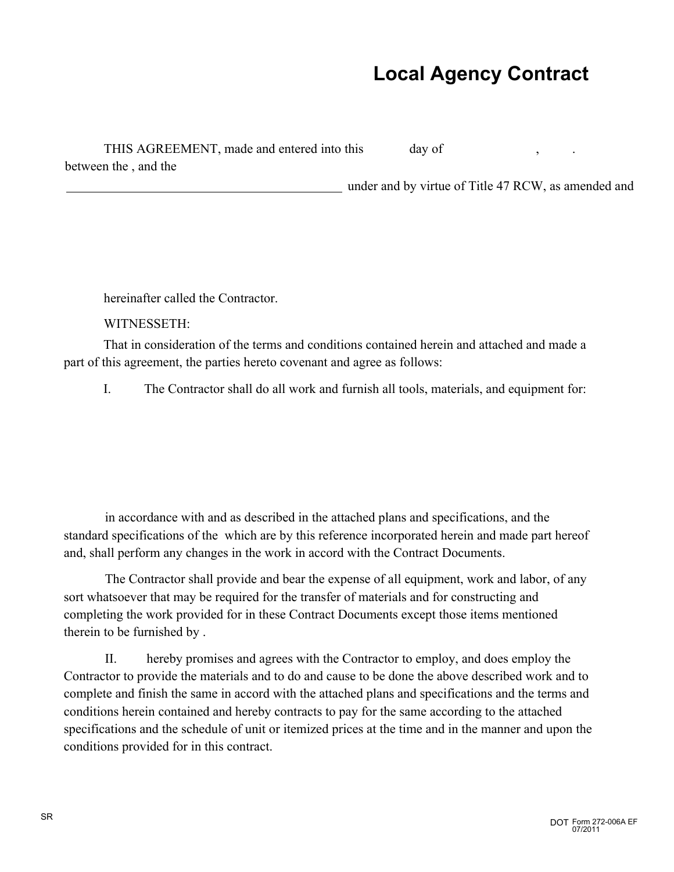## **Local Agency Contract**

under and by virtue of Title 47 RCW, as amended and

THIS AGREEMENT, made and entered into this day of between the , and the

hereinafter called the Contractor.

WITNESSETH:

That in consideration of the terms and conditions contained herein and attached and made a part of this agreement, the parties hereto covenant and agree as follows:

I. The Contractor shall do all work and furnish all tools, materials, and equipment for:

in accordance with and as described in the attached plans and specifications, and the standard specifications of the which are by this reference incorporated herein and made part hereof and, shall perform any changes in the work in accord with the Contract Documents.

The Contractor shall provide and bear the expense of all equipment, work and labor, of any sort whatsoever that may be required for the transfer of materials and for constructing and completing the work provided for in these Contract Documents except those items mentioned therein to be furnished by .

II. hereby promises and agrees with the Contractor to employ, and does employ the Contractor to provide the materials and to do and cause to be done the above described work and to complete and finish the same in accord with the attached plans and specifications and the terms and conditions herein contained and hereby contracts to pay for the same according to the attached specifications and the schedule of unit or itemized prices at the time and in the manner and upon the conditions provided for in this contract.